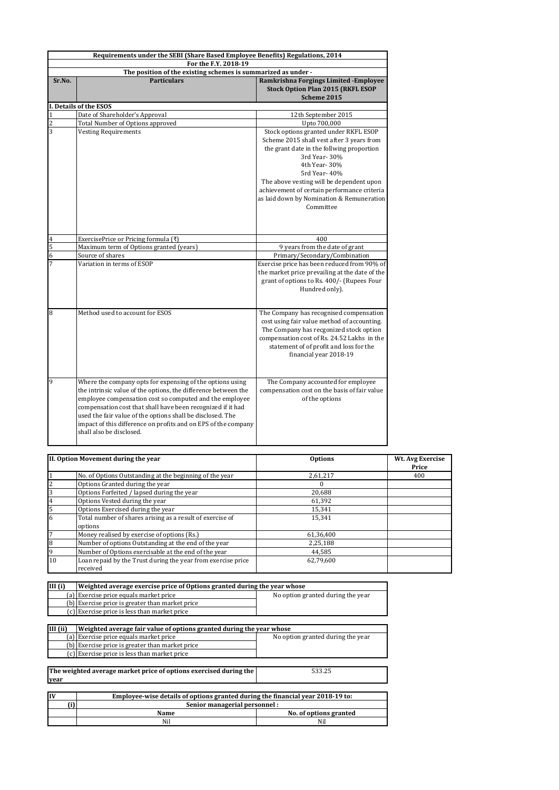| Requirements under the SEBI (Share Based Employee Benefits) Regulations, 2014         |                                                                                                                                                                                                                                                                                                                                                                                                                   |                                                                                                                                                                                                                                                                                                                                        |  |
|---------------------------------------------------------------------------------------|-------------------------------------------------------------------------------------------------------------------------------------------------------------------------------------------------------------------------------------------------------------------------------------------------------------------------------------------------------------------------------------------------------------------|----------------------------------------------------------------------------------------------------------------------------------------------------------------------------------------------------------------------------------------------------------------------------------------------------------------------------------------|--|
| For the F.Y. 2018-19<br>The position of the existing schemes is summarized as under - |                                                                                                                                                                                                                                                                                                                                                                                                                   |                                                                                                                                                                                                                                                                                                                                        |  |
| Sr.No.                                                                                | <b>Particulars</b>                                                                                                                                                                                                                                                                                                                                                                                                | Ramkrishna Forgings Limited - Employee<br><b>Stock Option Plan 2015 (RKFL ESOP</b><br>Scheme 2015                                                                                                                                                                                                                                      |  |
|                                                                                       | I. Details of the ESOS                                                                                                                                                                                                                                                                                                                                                                                            |                                                                                                                                                                                                                                                                                                                                        |  |
| $\mathbf 1$                                                                           | Date of Shareholder's Approval                                                                                                                                                                                                                                                                                                                                                                                    | 12th September 2015                                                                                                                                                                                                                                                                                                                    |  |
| $\overline{c}$                                                                        | Total Number of Options approved                                                                                                                                                                                                                                                                                                                                                                                  | Upto 700,000                                                                                                                                                                                                                                                                                                                           |  |
| $\overline{3}$                                                                        | <b>Vesting Requirements</b>                                                                                                                                                                                                                                                                                                                                                                                       | Stock options granted under RKFL ESOP<br>Scheme 2015 shall vest after 3 years from<br>the grant date in the follwing proportion<br>3rd Year-30%<br>4th Year- 30%<br>5rd Year- 40%<br>The above vesting will be dependent upon<br>achievement of certain performance criteria<br>as laid down by Nomination & Remuneration<br>Committee |  |
| $\bf 4$                                                                               | ExercisePrice or Pricing formula (₹)                                                                                                                                                                                                                                                                                                                                                                              | 400                                                                                                                                                                                                                                                                                                                                    |  |
| 5                                                                                     | Maximum term of Options granted (years)                                                                                                                                                                                                                                                                                                                                                                           | 9 years from the date of grant                                                                                                                                                                                                                                                                                                         |  |
| $\overline{6}$                                                                        | Source of shares                                                                                                                                                                                                                                                                                                                                                                                                  | Primary/Secondary/Combination                                                                                                                                                                                                                                                                                                          |  |
| 7                                                                                     | Variation in terms of ESOP                                                                                                                                                                                                                                                                                                                                                                                        | Exercise price has been reduced from 90% of<br>the market price prevailing at the date of the<br>grant of options to Rs. 400/- (Rupees Four<br>Hundred only).                                                                                                                                                                          |  |
| 8                                                                                     | Method used to account for ESOS                                                                                                                                                                                                                                                                                                                                                                                   | The Company has recognised compensation<br>cost using fair value method of accounting.<br>The Company has recgonized stock option<br>compensation cost of Rs. 24.52 Lakhs in the<br>statement of of profit and loss for the<br>financial year 2018-19                                                                                  |  |
| 9                                                                                     | Where the company opts for expensing of the options using<br>the intrinsic value of the options, the difference between the<br>employee compensation cost so computed and the employee<br>compensation cost that shall have been recognized if it had<br>used the fair value of the options shall be disclosed. The<br>impact of this difference on profits and on EPS of the company<br>shall also be disclosed. | The Company accounted for employee<br>compensation cost on the basis of fair value<br>of the options                                                                                                                                                                                                                                   |  |

| II. Option Movement during the year |                                                              | <b>Options</b> | Wt. Avg Exercise<br>Price |
|-------------------------------------|--------------------------------------------------------------|----------------|---------------------------|
|                                     | No. of Options Outstanding at the beginning of the year      | 2,61,217       | 400                       |
| $\overline{2}$                      | Options Granted during the year                              |                |                           |
| 3                                   | Options Forfeited / lapsed during the year                   | 20.688         |                           |
| $\overline{4}$                      | Options Vested during the year                               | 61,392         |                           |
| 5                                   | Options Exercised during the year                            | 15,341         |                           |
| 6                                   | Total number of shares arising as a result of exercise of    | 15,341         |                           |
|                                     | options                                                      |                |                           |
| 7                                   | Money realised by exercise of options (Rs.)                  | 61,36,400      |                           |
| 8                                   | Number of options Outstanding at the end of the year         | 2,25,188       |                           |
| 9                                   | Number of Options exercisable at the end of the year         | 44,585         |                           |
| 10                                  | Loan repaid by the Trust during the year from exercise price | 62,79,600      |                           |
|                                     | received                                                     |                |                           |

Name **No. of options granted** Nil Nil

| III(i) | Weighted average exercise price of Options granted during the year whose |                                   |
|--------|--------------------------------------------------------------------------|-----------------------------------|
|        | (a) Exercise price equals market price                                   | No option granted during the year |
|        | (b) Exercise price is greater than market price                          |                                   |
|        | (c) Exercise price is less than market price                             |                                   |

| III (ii) | Weighted average fair value of options granted during the year whose           |                                   |  |
|----------|--------------------------------------------------------------------------------|-----------------------------------|--|
|          | (a) Exercise price equals market price                                         | No option granted during the year |  |
|          | (b) Exercise price is greater than market price                                |                                   |  |
|          | (c) Exercise price is less than market price                                   |                                   |  |
|          |                                                                                |                                   |  |
|          | The weighted average market price of options exercised during the              | 533.25                            |  |
| vear     |                                                                                |                                   |  |
|          |                                                                                |                                   |  |
| IV       | Employee-wise details of options granted during the financial year 2018-19 to: |                                   |  |
|          | Senior managerial personnel :                                                  |                                   |  |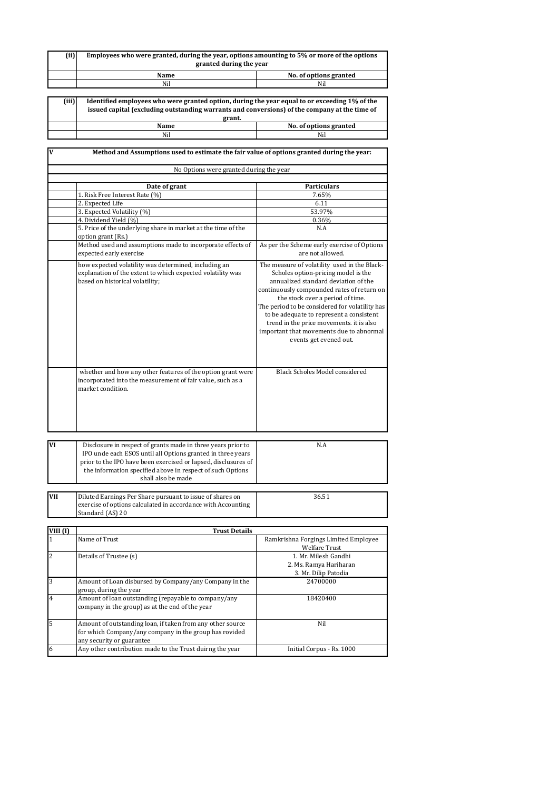| (iii)        | Employees who were granted, during the year, options amounting to 5% or more of the options<br>granted during the year                                                                                                                                                            |                                                                                                                                                                                                                                                                                                                                                                                                                               |  |
|--------------|-----------------------------------------------------------------------------------------------------------------------------------------------------------------------------------------------------------------------------------------------------------------------------------|-------------------------------------------------------------------------------------------------------------------------------------------------------------------------------------------------------------------------------------------------------------------------------------------------------------------------------------------------------------------------------------------------------------------------------|--|
|              | Name                                                                                                                                                                                                                                                                              | No. of options granted                                                                                                                                                                                                                                                                                                                                                                                                        |  |
|              | Nil                                                                                                                                                                                                                                                                               | Nil                                                                                                                                                                                                                                                                                                                                                                                                                           |  |
|              |                                                                                                                                                                                                                                                                                   |                                                                                                                                                                                                                                                                                                                                                                                                                               |  |
| (iii)        | Identified employees who were granted option, during the year equal to or exceeding 1% of the<br>issued capital (excluding outstanding warrants and conversions) of the company at the time of<br>grant.                                                                          |                                                                                                                                                                                                                                                                                                                                                                                                                               |  |
|              | Name                                                                                                                                                                                                                                                                              | No. of options granted                                                                                                                                                                                                                                                                                                                                                                                                        |  |
|              | Nil                                                                                                                                                                                                                                                                               | Nil                                                                                                                                                                                                                                                                                                                                                                                                                           |  |
|              |                                                                                                                                                                                                                                                                                   |                                                                                                                                                                                                                                                                                                                                                                                                                               |  |
| V            | Method and Assumptions used to estimate the fair value of options granted during the year:                                                                                                                                                                                        |                                                                                                                                                                                                                                                                                                                                                                                                                               |  |
|              | No Options were granted during the year                                                                                                                                                                                                                                           |                                                                                                                                                                                                                                                                                                                                                                                                                               |  |
|              | Date of grant                                                                                                                                                                                                                                                                     | <b>Particulars</b>                                                                                                                                                                                                                                                                                                                                                                                                            |  |
|              | 1. Risk Free Interest Rate (%)                                                                                                                                                                                                                                                    | 7.65%                                                                                                                                                                                                                                                                                                                                                                                                                         |  |
|              | 2. Expected Life                                                                                                                                                                                                                                                                  | 6.11                                                                                                                                                                                                                                                                                                                                                                                                                          |  |
|              | 3. Expected Volatility (%)                                                                                                                                                                                                                                                        | 53.97%                                                                                                                                                                                                                                                                                                                                                                                                                        |  |
|              | 4. Dividend Yield (%)                                                                                                                                                                                                                                                             | 0.36%                                                                                                                                                                                                                                                                                                                                                                                                                         |  |
|              | 5. Price of the underlying share in market at the time of the                                                                                                                                                                                                                     | N.A                                                                                                                                                                                                                                                                                                                                                                                                                           |  |
|              | option grant (Rs.)                                                                                                                                                                                                                                                                |                                                                                                                                                                                                                                                                                                                                                                                                                               |  |
|              | Method used and assumptions made to incorporate effects of                                                                                                                                                                                                                        | As per the Scheme early exercise of Options                                                                                                                                                                                                                                                                                                                                                                                   |  |
|              | expected early exercise                                                                                                                                                                                                                                                           | are not allowed.                                                                                                                                                                                                                                                                                                                                                                                                              |  |
|              | how expected volatility was determined, including an<br>explanation of the extent to which expected volatility was<br>based on historical volatility;                                                                                                                             | The measure of volatility used in the Black-<br>Scholes option-pricing model is the<br>annualized standard deviation of the<br>continuously compounded rates of return on<br>the stock over a period of time.<br>The period to be considered for volatility has<br>to be adequate to represent a consistent<br>trend in the price movements. it is also<br>important that movements due to abnormal<br>events get evened out. |  |
|              | whether and how any other features of the option grant were<br>incorporated into the measurement of fair value, such as a<br>market condition.                                                                                                                                    | Black Scholes Model considered                                                                                                                                                                                                                                                                                                                                                                                                |  |
| VI           |                                                                                                                                                                                                                                                                                   |                                                                                                                                                                                                                                                                                                                                                                                                                               |  |
|              | Disclosure in respect of grants made in three years prior to<br>IPO unde each ESOS until all Options granted in three years<br>prior to the IPO have been exercised or lapsed, disclusures of<br>the information specified above in respect of such Options<br>shall also be made | N A                                                                                                                                                                                                                                                                                                                                                                                                                           |  |
|              |                                                                                                                                                                                                                                                                                   |                                                                                                                                                                                                                                                                                                                                                                                                                               |  |
| VII          | Diluted Earnings Per Share pursuant to issue of shares on<br>exercise of options calculated in accordance with Accounting<br>Standard (AS) 20                                                                                                                                     | 36.51                                                                                                                                                                                                                                                                                                                                                                                                                         |  |
|              |                                                                                                                                                                                                                                                                                   |                                                                                                                                                                                                                                                                                                                                                                                                                               |  |
| VIII (I)     | <b>Trust Details</b>                                                                                                                                                                                                                                                              |                                                                                                                                                                                                                                                                                                                                                                                                                               |  |
| $\mathbf{1}$ | Name of Trust                                                                                                                                                                                                                                                                     | Ramkrishna Forgings Limited Employee<br><b>Welfare Trust</b>                                                                                                                                                                                                                                                                                                                                                                  |  |
| 2            | Details of Trustee (s)                                                                                                                                                                                                                                                            | 1. Mr. Milesh Gandhi                                                                                                                                                                                                                                                                                                                                                                                                          |  |
|              |                                                                                                                                                                                                                                                                                   | 2. Ms. Ramya Hariharan                                                                                                                                                                                                                                                                                                                                                                                                        |  |
|              |                                                                                                                                                                                                                                                                                   | 3. Mr. Dilip Patodia                                                                                                                                                                                                                                                                                                                                                                                                          |  |
| 3            | Amount of Loan disbursed by Company/any Company in the                                                                                                                                                                                                                            | 24700000                                                                                                                                                                                                                                                                                                                                                                                                                      |  |
|              | group, during the year                                                                                                                                                                                                                                                            |                                                                                                                                                                                                                                                                                                                                                                                                                               |  |
| 4            | Amount of loan outstanding (repayable to company/any<br>company in the group) as at the end of the year                                                                                                                                                                           | 18420400                                                                                                                                                                                                                                                                                                                                                                                                                      |  |
| 5            | Amount of outstanding loan, if taken from any other source<br>for which Company/any company in the group has rovided<br>any security or guarantee                                                                                                                                 | Nil                                                                                                                                                                                                                                                                                                                                                                                                                           |  |
| 6            | Any other contribution made to the Trust duirng the year                                                                                                                                                                                                                          | Initial Corpus - Rs. 1000                                                                                                                                                                                                                                                                                                                                                                                                     |  |